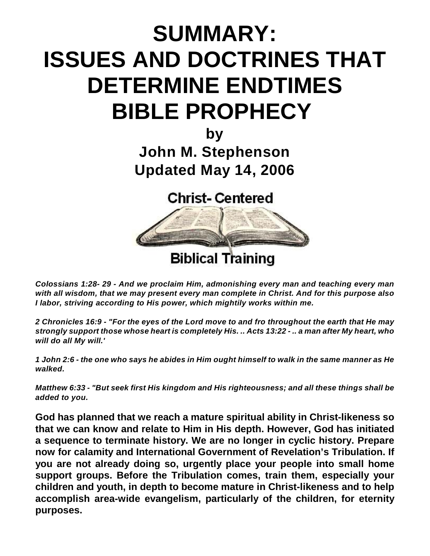# **SUMMARY: ISSUES AND DOCTRINES THAT DETERMINE ENDTIMES BIBLE PROPHECY**

**by John M. Stephenson Updated May 14, 2006**

**Christ-Centered** 



*Colossians 1:28- 29 - And we proclaim Him, admonishing every man and teaching every man with all wisdom, that we may present every man complete in Christ. And for this purpose also I labor, striving according to His power, which mightily works within me.*

*2 Chronicles 16:9 - "For the eyes of the Lord move to and fro throughout the earth that He may strongly support those whose heart is completely His. .. Acts 13:22 - .. a man after My heart, who will do all My will.'*

*1 John 2:6 - the one who says he abides in Him ought himself to walk in the same manner as He walked.*

*Matthew 6:33 - "But seek first His kingdom and His righteousness; and all these things shall be added to you.*

**God has planned that we reach a mature spiritual ability in Christ-likeness so that we can know and relate to Him in His depth. However, God has initiated a sequence to terminate history. We are no longer in cyclic history. Prepare now for calamity and International Government of Revelation's Tribulation. If you are not already doing so, urgently place your people into small home support groups. Before the Tribulation comes, train them, especially your children and youth, in depth to become mature in Christ-likeness and to help accomplish area-wide evangelism, particularly of the children, for eternity purposes.**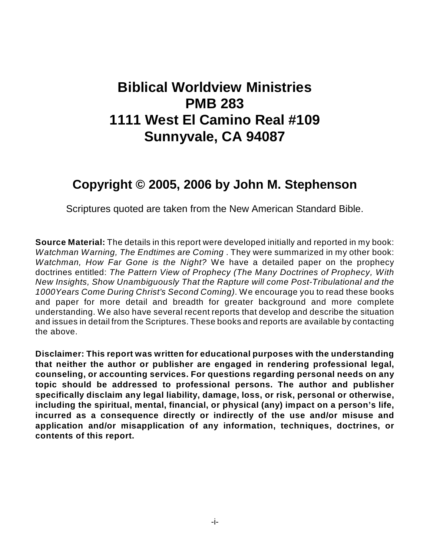## **Biblical Worldview Ministries PMB 283 1111 West El Camino Real #109 Sunnyvale, CA 94087**

### **Copyright © 2005, 2006 by John M. Stephenson**

Scriptures quoted are taken from the New American Standard Bible.

**Source Material:** The details in this report were developed initially and reported in my book: *Watchman Warning, The Endtimes are Coming* . They were summarized in my other book: *Watchman, How Far Gone is the Night?* We have a detailed paper on the prophecy doctrines entitled: *The Pattern View of Prophecy (The Many Doctrines of Prophecy, With New Insights, Show Unambiguously That the Rapture will come Post-Tribulational and the 1000Years Come During Christ's Second Coming)*. We encourage you to read these books and paper for more detail and breadth for greater background and more complete understanding. We also have several recent reports that develop and describe the situation and issues in detail from the Scriptures. These books and reports are available by contacting the above.

**Disclaimer: This report was written for educational purposes with the understanding that neither the author or publisher are engaged in rendering professional legal, counseling, or accounting services. For questions regarding personal needs on any topic should be addressed to professional persons. The author and publisher specifically disclaim any legal liability, damage, loss, or risk, personal or otherwise, including the spiritual, mental, financial, or physical (any) impact on a person's life, incurred as a consequence directly or indirectly of the use and/or misuse and application and/or misapplication of any information, techniques, doctrines, or contents of this report.**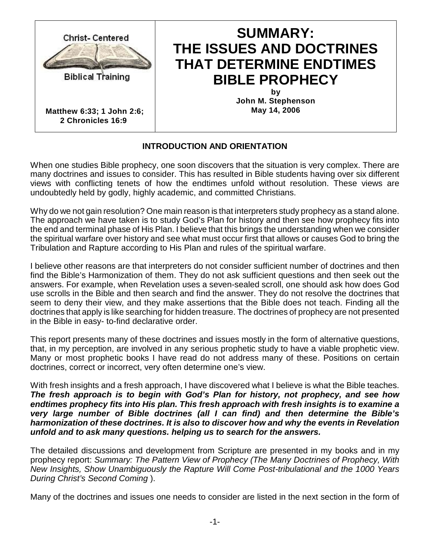

**Matthew 6:33; 1 John 2:6; 2 Chronicles 16:9** 

### **SUMMARY: THE ISSUES AND DOCTRINES THAT DETERMINE ENDTIMES BIBLE PROPHECY**

**by John M. Stephenson May 14, 2006**

### **INTRODUCTION AND ORIENTATION**

When one studies Bible prophecy, one soon discovers that the situation is very complex. There are many doctrines and issues to consider. This has resulted in Bible students having over six different views with conflicting tenets of how the endtimes unfold without resolution. These views are undoubtedly held by godly, highly academic, and committed Christians.

Why do we not gain resolution? One main reason is that interpreters study prophecy as a stand alone. The approach we have taken is to study God's Plan for history and then see how prophecy fits into the end and terminal phase of His Plan. I believe that this brings the understanding when we consider the spiritual warfare over history and see what must occur first that allows or causes God to bring the Tribulation and Rapture according to His Plan and rules of the spiritual warfare.

I believe other reasons are that interpreters do not consider sufficient number of doctrines and then find the Bible's Harmonization of them. They do not ask sufficient questions and then seek out the answers. For example, when Revelation uses a seven-sealed scroll, one should ask how does God use scrolls in the Bible and then search and find the answer. They do not resolve the doctrines that seem to deny their view, and they make assertions that the Bible does not teach. Finding all the doctrines that apply is like searching for hidden treasure. The doctrines of prophecy are not presented in the Bible in easy- to-find declarative order.

This report presents many of these doctrines and issues mostly in the form of alternative questions, that, in my perception, are involved in any serious prophetic study to have a viable prophetic view. Many or most prophetic books I have read do not address many of these. Positions on certain doctrines, correct or incorrect, very often determine one's view.

With fresh insights and a fresh approach, I have discovered what I believe is what the Bible teaches. *The fresh approach is to begin with God's Plan for history, not prophecy, and see how endtimes prophecy fits into His plan. This fresh approach with fresh insights is to examine a very large number of Bible doctrines (all I can find) and then determine the Bible's harmonization of these doctrines. It is also to discover how and why the events in Revelation unfold and to ask many questions. helping us to search for the answers.*

The detailed discussions and development from Scripture are presented in my books and in my prophecy report: *Summary: The Pattern View of Prophecy (The Many Doctrines of Prophecy, With New Insights, Show Unambiguously the Rapture Will Come Post-tribulational and the 1000 Years During Christ's Second Coming* ).

Many of the doctrines and issues one needs to consider are listed in the next section in the form of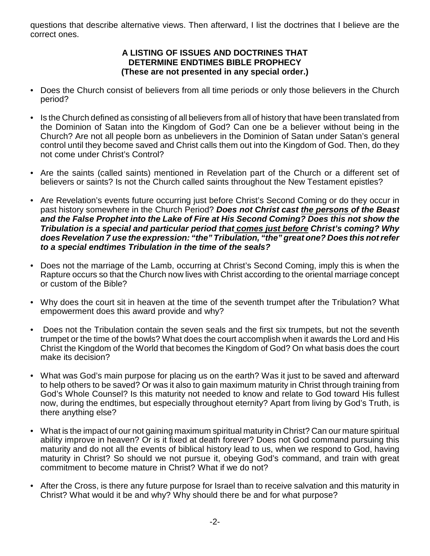questions that describe alternative views. Then afterward, I list the doctrines that I believe are the correct ones.

#### **A LISTING OF ISSUES AND DOCTRINES THAT DETERMINE ENDTIMES BIBLE PROPHECY (These are not presented in any special order.)**

- Does the Church consist of believers from all time periods or only those believers in the Church period?
- Is the Church defined as consisting of all believers from all of history that have been translated from the Dominion of Satan into the Kingdom of God? Can one be a believer without being in the Church? Are not all people born as unbelievers in the Dominion of Satan under Satan's general control until they become saved and Christ calls them out into the Kingdom of God. Then, do they not come under Christ's Control?
- Are the saints (called saints) mentioned in Revelation part of the Church or a different set of believers or saints? Is not the Church called saints throughout the New Testament epistles?
- Are Revelation's events future occurring just before Christ's Second Coming or do they occur in past history somewhere in the Church Period? *Does not Christ cast the persons of the Beast and the False Prophet into the Lake of Fire at His Second Coming? Does this not show the Tribulation is a special and particular period that comes just before Christ's coming? Why does Revelation 7 use the expression: "the" Tribulation, "the" great one? Does this not refer to a special endtimes Tribulation in the time of the seals?*
- Does not the marriage of the Lamb, occurring at Christ's Second Coming, imply this is when the Rapture occurs so that the Church now lives with Christ according to the oriental marriage concept or custom of the Bible?
- Why does the court sit in heaven at the time of the seventh trumpet after the Tribulation? What empowerment does this award provide and why?
- Does not the Tribulation contain the seven seals and the first six trumpets, but not the seventh trumpet or the time of the bowls? What does the court accomplish when it awards the Lord and His Christ the Kingdom of the World that becomes the Kingdom of God? On what basis does the court make its decision?
- What was God's main purpose for placing us on the earth? Was it just to be saved and afterward to help others to be saved? Or was it also to gain maximum maturity in Christ through training from God's Whole Counsel? Is this maturity not needed to know and relate to God toward His fullest now, during the endtimes, but especially throughout eternity? Apart from living by God's Truth, is there anything else?
- What is the impact of our not gaining maximum spiritual maturity in Christ? Can our mature spiritual ability improve in heaven? Or is it fixed at death forever? Does not God command pursuing this maturity and do not all the events of biblical history lead to us, when we respond to God, having maturity in Christ? So should we not pursue it, obeying God's command, and train with great commitment to become mature in Christ? What if we do not?
- After the Cross, is there any future purpose for Israel than to receive salvation and this maturity in Christ? What would it be and why? Why should there be and for what purpose?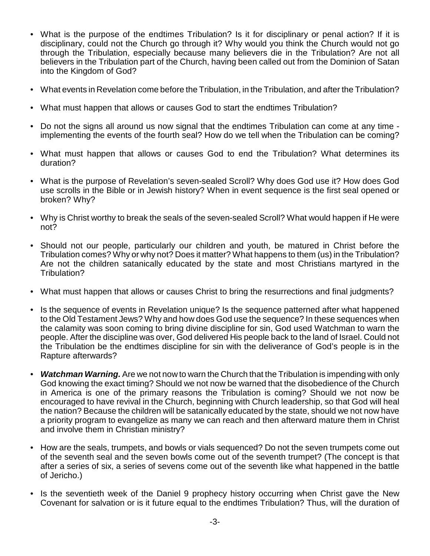- What is the purpose of the endtimes Tribulation? Is it for disciplinary or penal action? If it is disciplinary, could not the Church go through it? Why would you think the Church would not go through the Tribulation, especially because many believers die in the Tribulation? Are not all believers in the Tribulation part of the Church, having been called out from the Dominion of Satan into the Kingdom of God?
- What events in Revelation come before the Tribulation, in the Tribulation, and after the Tribulation?
- What must happen that allows or causes God to start the endtimes Tribulation?
- Do not the signs all around us now signal that the endtimes Tribulation can come at any time implementing the events of the fourth seal? How do we tell when the Tribulation can be coming?
- What must happen that allows or causes God to end the Tribulation? What determines its duration?
- What is the purpose of Revelation's seven-sealed Scroll? Why does God use it? How does God use scrolls in the Bible or in Jewish history? When in event sequence is the first seal opened or broken? Why?
- Why is Christ worthy to break the seals of the seven-sealed Scroll? What would happen if He were not?
- Should not our people, particularly our children and youth, be matured in Christ before the Tribulation comes? Why or why not? Does it matter? What happens to them (us) in the Tribulation? Are not the children satanically educated by the state and most Christians martyred in the Tribulation?
- What must happen that allows or causes Christ to bring the resurrections and final judgments?
- Is the sequence of events in Revelation unique? Is the sequence patterned after what happened to the Old Testament Jews? Why and how does God use the sequence? In these sequences when the calamity was soon coming to bring divine discipline for sin, God used Watchman to warn the people. After the discipline was over, God delivered His people back to the land of Israel. Could not the Tribulation be the endtimes discipline for sin with the deliverance of God's people is in the Rapture afterwards?
- *Watchman Warning.* Are we not now to warn the Church that the Tribulation is impending with only God knowing the exact timing? Should we not now be warned that the disobedience of the Church in America is one of the primary reasons the Tribulation is coming? Should we not now be encouraged to have revival in the Church, beginning with Church leadership, so that God will heal the nation? Because the children will be satanically educated by the state, should we not now have a priority program to evangelize as many we can reach and then afterward mature them in Christ and involve them in Christian ministry?
- How are the seals, trumpets, and bowls or vials sequenced? Do not the seven trumpets come out of the seventh seal and the seven bowls come out of the seventh trumpet? (The concept is that after a series of six, a series of sevens come out of the seventh like what happened in the battle of Jericho.)
- Is the seventieth week of the Daniel 9 prophecy history occurring when Christ gave the New Covenant for salvation or is it future equal to the endtimes Tribulation? Thus, will the duration of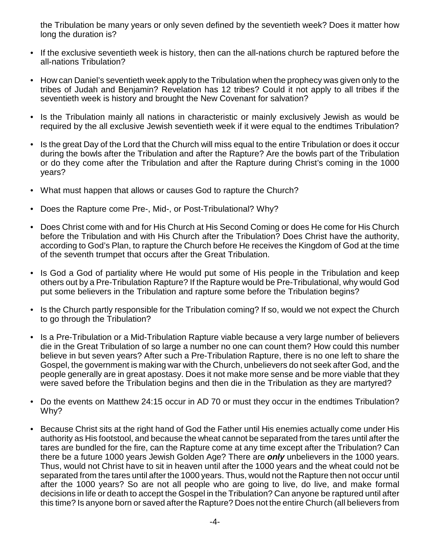the Tribulation be many years or only seven defined by the seventieth week? Does it matter how long the duration is?

- If the exclusive seventieth week is history, then can the all-nations church be raptured before the all-nations Tribulation?
- How can Daniel's seventieth week apply to the Tribulation when the prophecy was given only to the tribes of Judah and Benjamin? Revelation has 12 tribes? Could it not apply to all tribes if the seventieth week is history and brought the New Covenant for salvation?
- Is the Tribulation mainly all nations in characteristic or mainly exclusively Jewish as would be required by the all exclusive Jewish seventieth week if it were equal to the endtimes Tribulation?
- Is the great Day of the Lord that the Church will miss equal to the entire Tribulation or does it occur during the bowls after the Tribulation and after the Rapture? Are the bowls part of the Tribulation or do they come after the Tribulation and after the Rapture during Christ's coming in the 1000 years?
- What must happen that allows or causes God to rapture the Church?
- Does the Rapture come Pre-, Mid-, or Post-Tribulational? Why?
- Does Christ come with and for His Church at His Second Coming or does He come for His Church before the Tribulation and with His Church after the Tribulation? Does Christ have the authority, according to God's Plan, to rapture the Church before He receives the Kingdom of God at the time of the seventh trumpet that occurs after the Great Tribulation.
- Is God a God of partiality where He would put some of His people in the Tribulation and keep others out by a Pre-Tribulation Rapture? If the Rapture would be Pre-Tribulational, why would God put some believers in the Tribulation and rapture some before the Tribulation begins?
- Is the Church partly responsible for the Tribulation coming? If so, would we not expect the Church to go through the Tribulation?
- Is a Pre-Tribulation or a Mid-Tribulation Rapture viable because a very large number of believers die in the Great Tribulation of so large a number no one can count them? How could this number believe in but seven years? After such a Pre-Tribulation Rapture, there is no one left to share the Gospel, the government is making war with the Church, unbelievers do not seek after God, and the people generally are in great apostasy. Does it not make more sense and be more viable that they were saved before the Tribulation begins and then die in the Tribulation as they are martyred?
- Do the events on Matthew 24:15 occur in AD 70 or must they occur in the endtimes Tribulation? Why?
- Because Christ sits at the right hand of God the Father until His enemies actually come under His authority as His footstool, and because the wheat cannot be separated from the tares until after the tares are bundled for the fire, can the Rapture come at any time except after the Tribulation? Can there be a future 1000 years Jewish Golden Age? There are *only* unbelievers in the 1000 years. Thus, would not Christ have to sit in heaven until after the 1000 years and the wheat could not be separated from the tares until after the 1000 years. Thus, would not the Rapture then not occur until after the 1000 years? So are not all people who are going to live, do live, and make formal decisions in life or death to accept the Gospel in the Tribulation? Can anyone be raptured until after this time? Is anyone born or saved after the Rapture? Does not the entire Church (all believers from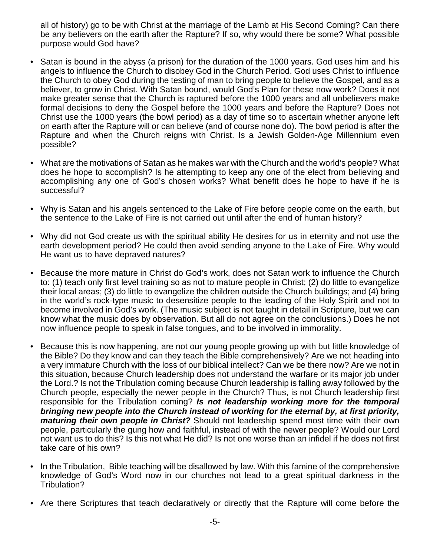all of history) go to be with Christ at the marriage of the Lamb at His Second Coming? Can there be any believers on the earth after the Rapture? If so, why would there be some? What possible purpose would God have?

- Satan is bound in the abyss (a prison) for the duration of the 1000 years. God uses him and his angels to influence the Church to disobey God in the Church Period. God uses Christ to influence the Church to obey God during the testing of man to bring people to believe the Gospel, and as a believer, to grow in Christ. With Satan bound, would God's Plan for these now work? Does it not make greater sense that the Church is raptured before the 1000 years and all unbelievers make formal decisions to deny the Gospel before the 1000 years and before the Rapture? Does not Christ use the 1000 years (the bowl period) as a day of time so to ascertain whether anyone left on earth after the Rapture will or can believe (and of course none do). The bowl period is after the Rapture and when the Church reigns with Christ. Is a Jewish Golden-Age Millennium even possible?
- What are the motivations of Satan as he makes war with the Church and the world's people? What does he hope to accomplish? Is he attempting to keep any one of the elect from believing and accomplishing any one of God's chosen works? What benefit does he hope to have if he is successful?
- Why is Satan and his angels sentenced to the Lake of Fire before people come on the earth, but the sentence to the Lake of Fire is not carried out until after the end of human history?
- Why did not God create us with the spiritual ability He desires for us in eternity and not use the earth development period? He could then avoid sending anyone to the Lake of Fire. Why would He want us to have depraved natures?
- Because the more mature in Christ do God's work, does not Satan work to influence the Church to: (1) teach only first level training so as not to mature people in Christ; (2) do little to evangelize their local areas; (3) do little to evangelize the children outside the Church buildings; and (4) bring in the world's rock-type music to desensitize people to the leading of the Holy Spirit and not to become involved in God's work. (The music subject is not taught in detail in Scripture, but we can know what the music does by observation. But all do not agree on the conclusions.) Does he not now influence people to speak in false tongues, and to be involved in immorality.
- Because this is now happening, are not our young people growing up with but little knowledge of the Bible? Do they know and can they teach the Bible comprehensively? Are we not heading into a very immature Church with the loss of our biblical intellect? Can we be there now? Are we not in this situation, because Church leadership does not understand the warfare or its major job under the Lord.? Is not the Tribulation coming because Church leadership is falling away followed by the Church people, especially the newer people in the Church? Thus, is not Church leadership first responsible for the Tribulation coming? *Is not leadership working more for the temporal bringing new people into the Church instead of working for the eternal by, at first priority, maturing their own people in Christ?* Should not leadership spend most time with their own people, particularly the gung how and faithful, instead of with the newer people? Would our Lord not want us to do this? Is this not what He did? Is not one worse than an infidel if he does not first take care of his own?
- In the Tribulation, Bible teaching will be disallowed by law. With this famine of the comprehensive knowledge of God's Word now in our churches not lead to a great spiritual darkness in the Tribulation?
- Are there Scriptures that teach declaratively or directly that the Rapture will come before the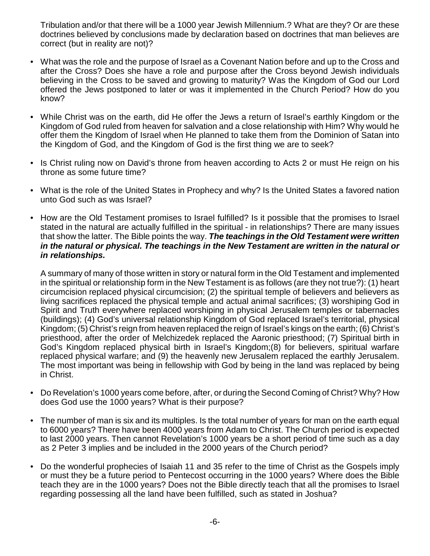Tribulation and/or that there will be a 1000 year Jewish Millennium.? What are they? Or are these doctrines believed by conclusions made by declaration based on doctrines that man believes are correct (but in reality are not)?

- What was the role and the purpose of Israel as a Covenant Nation before and up to the Cross and after the Cross? Does she have a role and purpose after the Cross beyond Jewish individuals believing in the Cross to be saved and growing to maturity? Was the Kingdom of God our Lord offered the Jews postponed to later or was it implemented in the Church Period? How do you know?
- While Christ was on the earth, did He offer the Jews a return of Israel's earthly Kingdom or the Kingdom of God ruled from heaven for salvation and a close relationship with Him? Why would he offer them the Kingdom of Israel when He planned to take them from the Dominion of Satan into the Kingdom of God, and the Kingdom of God is the first thing we are to seek?
- Is Christ ruling now on David's throne from heaven according to Acts 2 or must He reign on his throne as some future time?
- What is the role of the United States in Prophecy and why? Is the United States a favored nation unto God such as was Israel?
- How are the Old Testament promises to Israel fulfilled? Is it possible that the promises to Israel stated in the natural are actually fulfilled in the spiritual - in relationships? There are many issues that show the latter. The Bible points the way. *The teachings in the Old Testament were written in the natural or physical. The teachings in the New Testament are written in the natural or in relationships.*

A summary of many of those written in story or natural form in the Old Testament and implemented in the spiritual or relationship form in the New Testament is as follows (are they not true?): (1) heart circumcision replaced physical circumcision; (2) the spiritual temple of believers and believers as living sacrifices replaced the physical temple and actual animal sacrifices; (3) worshiping God in Spirit and Truth everywhere replaced worshiping in physical Jerusalem temples or tabernacles (buildings); (4) God's universal relationship Kingdom of God replaced Israel's territorial, physical Kingdom; (5) Christ's reign from heaven replaced the reign of Israel's kings on the earth; (6) Christ's priesthood, after the order of Melchizedek replaced the Aaronic priesthood; (7) Spiritual birth in God's Kingdom replaced physical birth in Israel's Kingdom;(8) for believers, spiritual warfare replaced physical warfare; and (9) the heavenly new Jerusalem replaced the earthly Jerusalem. The most important was being in fellowship with God by being in the land was replaced by being in Christ.

- Do Revelation's 1000 years come before, after, or during the Second Coming of Christ? Why? How does God use the 1000 years? What is their purpose?
- The number of man is six and its multiples. Is the total number of years for man on the earth equal to 6000 years? There have been 4000 years from Adam to Christ. The Church period is expected to last 2000 years. Then cannot Revelation's 1000 years be a short period of time such as a day as 2 Peter 3 implies and be included in the 2000 years of the Church period?
- Do the wonderful prophecies of Isaiah 11 and 35 refer to the time of Christ as the Gospels imply or must they be a future period to Pentecost occurring in the 1000 years? Where does the Bible teach they are in the 1000 years? Does not the Bible directly teach that all the promises to Israel regarding possessing all the land have been fulfilled, such as stated in Joshua?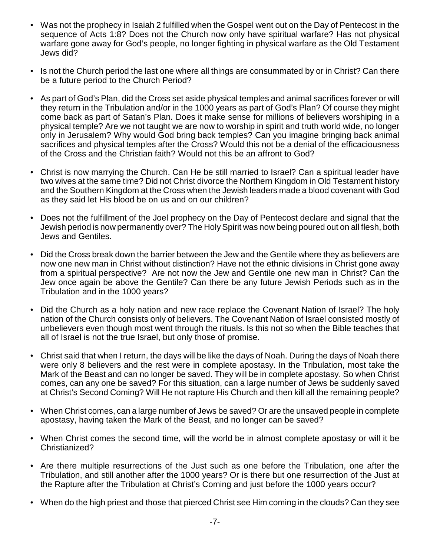- Was not the prophecy in Isaiah 2 fulfilled when the Gospel went out on the Day of Pentecost in the sequence of Acts 1:8? Does not the Church now only have spiritual warfare? Has not physical warfare gone away for God's people, no longer fighting in physical warfare as the Old Testament Jews did?
- Is not the Church period the last one where all things are consummated by or in Christ? Can there be a future period to the Church Period?
- As part of God's Plan, did the Cross set aside physical temples and animal sacrifices forever or will they return in the Tribulation and/or in the 1000 years as part of God's Plan? Of course they might come back as part of Satan's Plan. Does it make sense for millions of believers worshiping in a physical temple? Are we not taught we are now to worship in spirit and truth world wide, no longer only in Jerusalem? Why would God bring back temples? Can you imagine bringing back animal sacrifices and physical temples after the Cross? Would this not be a denial of the efficaciousness of the Cross and the Christian faith? Would not this be an affront to God?
- Christ is now marrying the Church. Can He be still married to Israel? Can a spiritual leader have two wives at the same time? Did not Christ divorce the Northern Kingdom in Old Testament history and the Southern Kingdom at the Cross when the Jewish leaders made a blood covenant with God as they said let His blood be on us and on our children?
- Does not the fulfillment of the Joel prophecy on the Day of Pentecost declare and signal that the Jewish period is now permanently over? The Holy Spirit was now being poured out on all flesh, both Jews and Gentiles.
- Did the Cross break down the barrier between the Jew and the Gentile where they as believers are now one new man in Christ without distinction? Have not the ethnic divisions in Christ gone away from a spiritual perspective? Are not now the Jew and Gentile one new man in Christ? Can the Jew once again be above the Gentile? Can there be any future Jewish Periods such as in the Tribulation and in the 1000 years?
- Did the Church as a holy nation and new race replace the Covenant Nation of Israel? The holy nation of the Church consists only of believers. The Covenant Nation of Israel consisted mostly of unbelievers even though most went through the rituals. Is this not so when the Bible teaches that all of Israel is not the true Israel, but only those of promise.
- Christ said that when I return, the days will be like the days of Noah. During the days of Noah there were only 8 believers and the rest were in complete apostasy. In the Tribulation, most take the Mark of the Beast and can no longer be saved. They will be in complete apostasy. So when Christ comes, can any one be saved? For this situation, can a large number of Jews be suddenly saved at Christ's Second Coming? Will He not rapture His Church and then kill all the remaining people?
- When Christ comes, can a large number of Jews be saved? Or are the unsaved people in complete apostasy, having taken the Mark of the Beast, and no longer can be saved?
- When Christ comes the second time, will the world be in almost complete apostasy or will it be Christianized?
- Are there multiple resurrections of the Just such as one before the Tribulation, one after the Tribulation, and still another after the 1000 years? Or is there but one resurrection of the Just at the Rapture after the Tribulation at Christ's Coming and just before the 1000 years occur?
- When do the high priest and those that pierced Christ see Him coming in the clouds? Can they see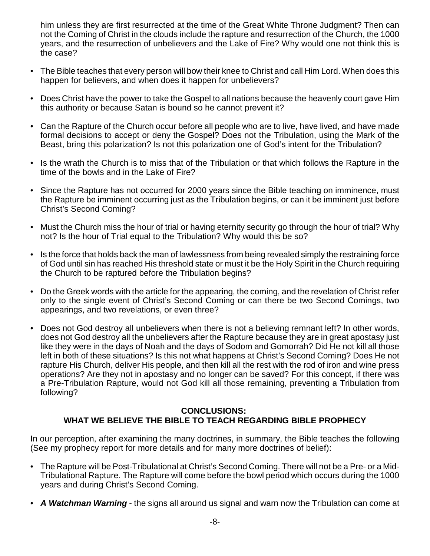him unless they are first resurrected at the time of the Great White Throne Judgment? Then can not the Coming of Christ in the clouds include the rapture and resurrection of the Church, the 1000 years, and the resurrection of unbelievers and the Lake of Fire? Why would one not think this is the case?

- The Bible teaches that every person will bow their knee to Christ and call Him Lord. When does this happen for believers, and when does it happen for unbelievers?
- Does Christ have the power to take the Gospel to all nations because the heavenly court gave Him this authority or because Satan is bound so he cannot prevent it?
- Can the Rapture of the Church occur before all people who are to live, have lived, and have made formal decisions to accept or deny the Gospel? Does not the Tribulation, using the Mark of the Beast, bring this polarization? Is not this polarization one of God's intent for the Tribulation?
- Is the wrath the Church is to miss that of the Tribulation or that which follows the Rapture in the time of the bowls and in the Lake of Fire?
- Since the Rapture has not occurred for 2000 years since the Bible teaching on imminence, must the Rapture be imminent occurring just as the Tribulation begins, or can it be imminent just before Christ's Second Coming?
- Must the Church miss the hour of trial or having eternity security go through the hour of trial? Why not? Is the hour of Trial equal to the Tribulation? Why would this be so?
- Is the force that holds back the man of lawlessness from being revealed simply the restraining force of God until sin has reached His threshold state or must it be the Holy Spirit in the Church requiring the Church to be raptured before the Tribulation begins?
- Do the Greek words with the article for the appearing, the coming, and the revelation of Christ refer only to the single event of Christ's Second Coming or can there be two Second Comings, two appearings, and two revelations, or even three?
- Does not God destroy all unbelievers when there is not a believing remnant left? In other words, does not God destroy all the unbelievers after the Rapture because they are in great apostasy just like they were in the days of Noah and the days of Sodom and Gomorrah? Did He not kill all those left in both of these situations? Is this not what happens at Christ's Second Coming? Does He not rapture His Church, deliver His people, and then kill all the rest with the rod of iron and wine press operations? Are they not in apostasy and no longer can be saved? For this concept, if there was a Pre-Tribulation Rapture, would not God kill all those remaining, preventing a Tribulation from following?

#### **CONCLUSIONS: WHAT WE BELIEVE THE BIBLE TO TEACH REGARDING BIBLE PROPHECY**

In our perception, after examining the many doctrines, in summary, the Bible teaches the following (See my prophecy report for more details and for many more doctrines of belief):

- The Rapture will be Post-Tribulational at Christ's Second Coming. There will not be a Pre- or a Mid-Tribulational Rapture. The Rapture will come before the bowl period which occurs during the 1000 years and during Christ's Second Coming.
- *A Watchman Warning* the signs all around us signal and warn now the Tribulation can come at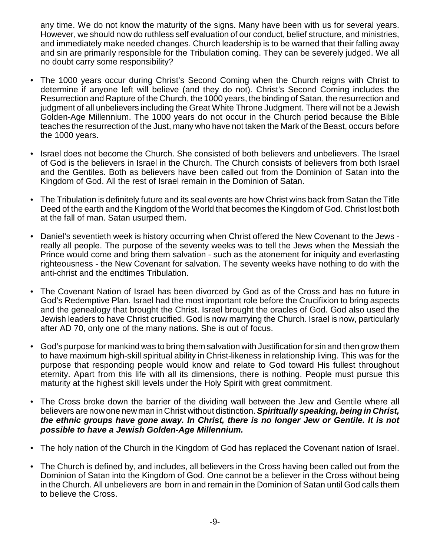any time. We do not know the maturity of the signs. Many have been with us for several years. However, we should now do ruthless self evaluation of our conduct, belief structure, and ministries, and immediately make needed changes. Church leadership is to be warned that their falling away and sin are primarily responsible for the Tribulation coming. They can be severely judged. We all no doubt carry some responsibility?

- The 1000 years occur during Christ's Second Coming when the Church reigns with Christ to determine if anyone left will believe (and they do not). Christ's Second Coming includes the Resurrection and Rapture of the Church, the 1000 years, the binding of Satan, the resurrection and judgment of all unbelievers including the Great White Throne Judgment. There will not be a Jewish Golden-Age Millennium. The 1000 years do not occur in the Church period because the Bible teaches the resurrection of the Just, many who have not taken the Mark of the Beast, occurs before the 1000 years.
- Israel does not become the Church. She consisted of both believers and unbelievers. The Israel of God is the believers in Israel in the Church. The Church consists of believers from both Israel and the Gentiles. Both as believers have been called out from the Dominion of Satan into the Kingdom of God. All the rest of Israel remain in the Dominion of Satan.
- The Tribulation is definitely future and its seal events are how Christ wins back from Satan the Title Deed of the earth and the Kingdom of the World that becomes the Kingdom of God. Christ lost both at the fall of man. Satan usurped them.
- Daniel's seventieth week is history occurring when Christ offered the New Covenant to the Jews really all people. The purpose of the seventy weeks was to tell the Jews when the Messiah the Prince would come and bring them salvation - such as the atonement for iniquity and everlasting righteousness - the New Covenant for salvation. The seventy weeks have nothing to do with the anti-christ and the endtimes Tribulation.
- The Covenant Nation of Israel has been divorced by God as of the Cross and has no future in God's Redemptive Plan. Israel had the most important role before the Crucifixion to bring aspects and the genealogy that brought the Christ. Israel brought the oracles of God. God also used the Jewish leaders to have Christ crucified. God is now marrying the Church. Israel is now, particularly after AD 70, only one of the many nations. She is out of focus.
- God's purpose for mankind was to bring them salvation with Justification for sin and then grow them to have maximum high-skill spiritual ability in Christ-likeness in relationship living. This was for the purpose that responding people would know and relate to God toward His fullest throughout eternity. Apart from this life with all its dimensions, there is nothing. People must pursue this maturity at the highest skill levels under the Holy Spirit with great commitment.
- The Cross broke down the barrier of the dividing wall between the Jew and Gentile where all believers are now one new man in Christ without distinction. *Spiritually speaking, being in Christ, the ethnic groups have gone away. In Christ, there is no longer Jew or Gentile. It is not possible to have a Jewish Golden-Age Millennium.*
- The holy nation of the Church in the Kingdom of God has replaced the Covenant nation of Israel.
- The Church is defined by, and includes, all believers in the Cross having been called out from the Dominion of Satan into the Kingdom of God. One cannot be a believer in the Cross without being in the Church. All unbelievers are born in and remain in the Dominion of Satan until God calls them to believe the Cross.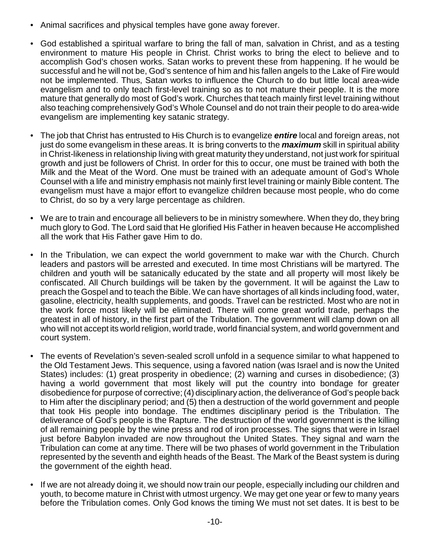- Animal sacrifices and physical temples have gone away forever.
- God established a spiritual warfare to bring the fall of man, salvation in Christ, and as a testing environment to mature His people in Christ. Christ works to bring the elect to believe and to accomplish God's chosen works. Satan works to prevent these from happening. If he would be successful and he will not be, God's sentence of him and his fallen angels to the Lake of Fire would not be implemented. Thus, Satan works to influence the Church to do but little local area-wide evangelism and to only teach first-level training so as to not mature their people. It is the more mature that generally do most of God's work. Churches that teach mainly first level training without also teaching comprehensively God's Whole Counsel and do not train their people to do area-wide evangelism are implementing key satanic strategy.
- The job that Christ has entrusted to His Church is to evangelize *entire* local and foreign areas, not just do some evangelism in these areas. It is bring converts to the *maximum* skill in spiritual ability in Christ-likeness in relationship living with great maturity they understand, not just work for spiritual growth and just be followers of Christ. In order for this to occur, one must be trained with both the Milk and the Meat of the Word. One must be trained with an adequate amount of God's Whole Counsel with a life and ministry emphasis not mainly first level training or mainly Bible content. The evangelism must have a major effort to evangelize children because most people, who do come to Christ, do so by a very large percentage as children.
- We are to train and encourage all believers to be in ministry somewhere. When they do, they bring much glory to God. The Lord said that He glorified His Father in heaven because He accomplished all the work that His Father gave Him to do.
- In the Tribulation, we can expect the world government to make war with the Church. Church leaders and pastors will be arrested and executed. In time most Christians will be martyred. The children and youth will be satanically educated by the state and all property will most likely be confiscated. All Church buildings will be taken by the government. It will be against the Law to preach the Gospel and to teach the Bible. We can have shortages of all kinds including food, water, gasoline, electricity, health supplements, and goods. Travel can be restricted. Most who are not in the work force most likely will be eliminated. There will come great world trade, perhaps the greatest in all of history, in the first part of the Tribulation. The government will clamp down on all who will not accept its world religion, world trade, world financial system, and world government and court system.
- The events of Revelation's seven-sealed scroll unfold in a sequence similar to what happened to the Old Testament Jews. This sequence, using a favored nation (was Israel and is now the United States) includes: (1) great prosperity in obedience; (2) warning and curses in disobedience; (3) having a world government that most likely will put the country into bondage for greater disobedience for purpose of corrective; (4) disciplinary action, the deliverance of God's people back to Him after the disciplinary period; and (5) then a destruction of the world government and people that took His people into bondage. The endtimes disciplinary period is the Tribulation. The deliverance of God's people is the Rapture. The destruction of the world government is the killing of all remaining people by the wine press and rod of iron processes. The signs that were in Israel just before Babylon invaded are now throughout the United States. They signal and warn the Tribulation can come at any time. There will be two phases of world government in the Tribulation represented by the seventh and eighth heads of the Beast. The Mark of the Beast system is during the government of the eighth head.
- If we are not already doing it, we should now train our people, especially including our children and youth, to become mature in Christ with utmost urgency. We may get one year or few to many years before the Tribulation comes. Only God knows the timing We must not set dates. It is best to be